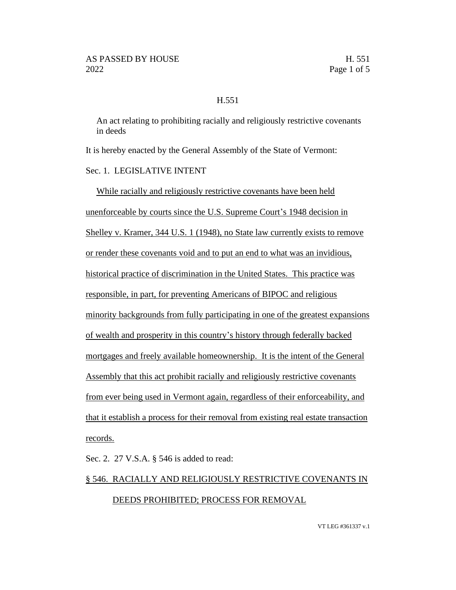## H.551

An act relating to prohibiting racially and religiously restrictive covenants in deeds

It is hereby enacted by the General Assembly of the State of Vermont:

Sec. 1. LEGISLATIVE INTENT

While racially and religiously restrictive covenants have been held unenforceable by courts since the U.S. Supreme Court's 1948 decision in Shelley v. Kramer, 344 U.S. 1 (1948), no State law currently exists to remove or render these covenants void and to put an end to what was an invidious, historical practice of discrimination in the United States. This practice was responsible, in part, for preventing Americans of BIPOC and religious minority backgrounds from fully participating in one of the greatest expansions of wealth and prosperity in this country's history through federally backed mortgages and freely available homeownership. It is the intent of the General Assembly that this act prohibit racially and religiously restrictive covenants from ever being used in Vermont again, regardless of their enforceability, and that it establish a process for their removal from existing real estate transaction records.

Sec. 2. 27 V.S.A. § 546 is added to read:

## § 546. RACIALLY AND RELIGIOUSLY RESTRICTIVE COVENANTS IN DEEDS PROHIBITED; PROCESS FOR REMOVAL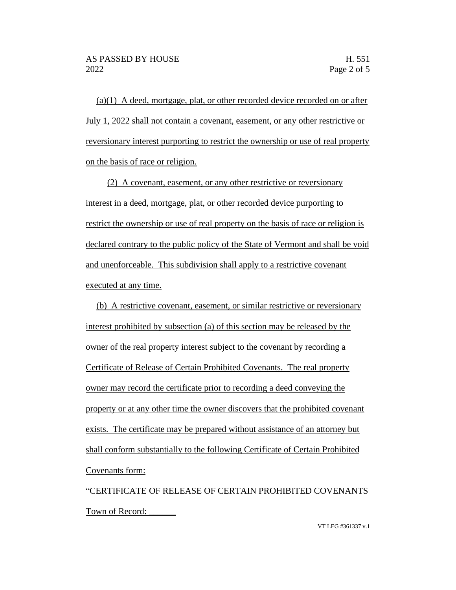(a)(1) A deed, mortgage, plat, or other recorded device recorded on or after July 1, 2022 shall not contain a covenant, easement, or any other restrictive or reversionary interest purporting to restrict the ownership or use of real property on the basis of race or religion.

(2) A covenant, easement, or any other restrictive or reversionary interest in a deed, mortgage, plat, or other recorded device purporting to restrict the ownership or use of real property on the basis of race or religion is declared contrary to the public policy of the State of Vermont and shall be void and unenforceable. This subdivision shall apply to a restrictive covenant executed at any time.

(b) A restrictive covenant, easement, or similar restrictive or reversionary interest prohibited by subsection (a) of this section may be released by the owner of the real property interest subject to the covenant by recording a Certificate of Release of Certain Prohibited Covenants. The real property owner may record the certificate prior to recording a deed conveying the property or at any other time the owner discovers that the prohibited covenant exists. The certificate may be prepared without assistance of an attorney but shall conform substantially to the following Certificate of Certain Prohibited Covenants form:

"CERTIFICATE OF RELEASE OF CERTAIN PROHIBITED COVENANTS Town of Record: \_\_\_\_\_\_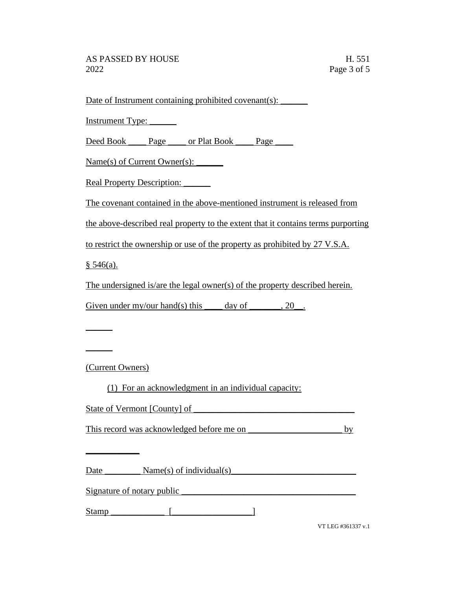Date of Instrument containing prohibited covenant(s): \_\_\_\_\_\_\_

Instrument Type: \_\_\_\_\_\_

Deed Book \_\_\_\_\_ Page \_\_\_\_ or Plat Book \_\_\_\_ Page \_\_\_\_\_

Name(s) of Current Owner(s): \_\_\_\_\_\_

Real Property Description: \_\_\_\_\_\_

The covenant contained in the above-mentioned instrument is released from

the above-described real property to the extent that it contains terms purporting

to restrict the ownership or use of the property as prohibited by 27 V.S.A.

 $§ 546(a).$ 

 $\mathcal{L}$ 

 $\overline{\phantom{a}}$ 

The undersigned is/are the legal owner(s) of the property described herein.

Given under my/our hand(s) this  $\_\_\_\_$  day of  $\_\_\_\_$ , 20 $\_\_\_\_\_\$ .

(Current Owners)

 $\overline{\phantom{a}}$ 

(1) For an acknowledgment in an individual capacity:

| State of Vermont [County] of |
|------------------------------|
|------------------------------|

This record was acknowledged before me on \_\_\_\_\_\_\_\_\_\_\_\_\_\_\_\_\_\_\_\_\_ by

Date  $\sum_{s}$  Name(s) of individual(s)

Signature of notary public

 $Stamp$   $\qquad \qquad$   $\qquad \qquad$   $\qquad$   $\qquad$   $\qquad$   $\qquad$   $\qquad$   $\qquad$   $\qquad$   $\qquad$   $\qquad$   $\qquad$   $\qquad$   $\qquad$   $\qquad$   $\qquad$   $\qquad$   $\qquad$   $\qquad$   $\qquad$   $\qquad$   $\qquad$   $\qquad$   $\qquad$   $\qquad$   $\qquad$   $\qquad$   $\qquad$   $\qquad$   $\qquad$   $\qquad$   $\qquad$   $\qquad$   $\qquad$   $\qquad$ 

VT LEG #361337 v.1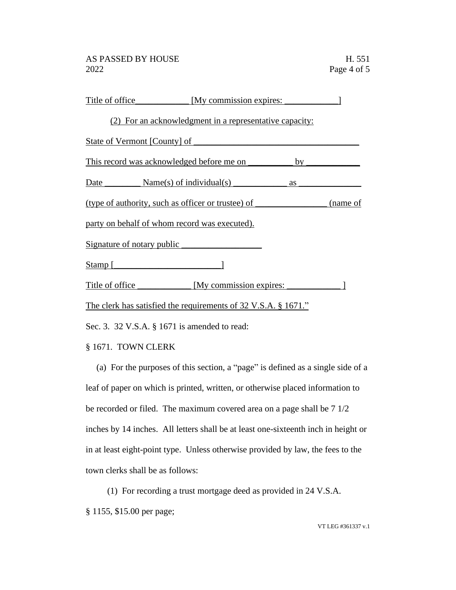| Title of office            | [My commission expires:                                           |           |          |
|----------------------------|-------------------------------------------------------------------|-----------|----------|
|                            | (2) For an acknowledgment in a representative capacity:           |           |          |
|                            | State of Vermont [County] of ______                               |           |          |
|                            | This record was acknowledged before me on                         | $by_$     |          |
|                            | Date $\_\_\_\_\_\$ Name(s) of individual(s) $\_\_\_\_\_\_\_\_\_\$ | <b>as</b> |          |
|                            | (type of authority, such as officer or trustee) of                |           | (name of |
|                            | party on behalf of whom record was executed).                     |           |          |
| Signature of notary public |                                                                   |           |          |
| $Stamp$ [                  |                                                                   |           |          |
| Title of office            | [My commission expires:                                           |           |          |
|                            | The clerk has satisfied the requirements of 32 V.S.A. § 1671."    |           |          |

Sec. 3. 32 V.S.A. § 1671 is amended to read:

## § 1671. TOWN CLERK

(a) For the purposes of this section, a "page" is defined as a single side of a leaf of paper on which is printed, written, or otherwise placed information to be recorded or filed. The maximum covered area on a page shall be 7 1/2 inches by 14 inches. All letters shall be at least one-sixteenth inch in height or in at least eight-point type. Unless otherwise provided by law, the fees to the town clerks shall be as follows:

(1) For recording a trust mortgage deed as provided in 24 V.S.A. § 1155, \$15.00 per page;

VT LEG #361337 v.1